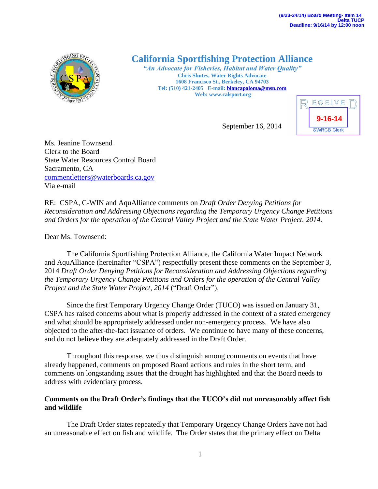

# **California Sportfishing Protection Alliance**

*"An Advocate for Fisheries, Habitat and Water Quality"* **Chris Shutes, Water Rights Advocate 1608 Francisco St., Berkeley, CA 94703 Tel: (510) 421-2405 E-mail[: blancapaloma@msn.com](mailto:blancapaloma@msn.com) Web: www.calsport.org**



September 16, 2014

Ms. Jeanine Townsend Clerk to the Board State Water Resources Control Board Sacramento, CA [commentletters@waterboards.ca.gov](mailto:commentletters@waterboards.ca.gov) Via e-mail

RE: CSPA, C-WIN and AquAlliance comments on *Draft Order Denying Petitions for Reconsideration and Addressing Objections regarding the Temporary Urgency Change Petitions and Orders for the operation of the Central Valley Project and the State Water Project, 2014.*

Dear Ms. Townsend:

The California Sportfishing Protection Alliance, the California Water Impact Network and AquAlliance (hereinafter "CSPA") respectfully present these comments on the September 3, 2014 *Draft Order Denying Petitions for Reconsideration and Addressing Objections regarding the Temporary Urgency Change Petitions and Orders for the operation of the Central Valley Project and the State Water Project, 2014* ("Draft Order").

Since the first Temporary Urgency Change Order (TUCO) was issued on January 31, CSPA has raised concerns about what is properly addressed in the context of a stated emergency and what should be appropriately addressed under non-emergency process. We have also objected to the after-the-fact issuance of orders. We continue to have many of these concerns, and do not believe they are adequately addressed in the Draft Order.

Throughout this response, we thus distinguish among comments on events that have already happened, comments on proposed Board actions and rules in the short term, and comments on longstanding issues that the drought has highlighted and that the Board needs to address with evidentiary process.

## **Comments on the Draft Order's findings that the TUCO's did not unreasonably affect fish and wildlife**

The Draft Order states repeatedly that Temporary Urgency Change Orders have not had an unreasonable effect on fish and wildlife. The Order states that the primary effect on Delta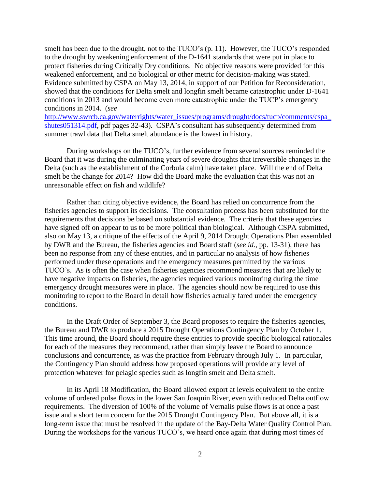smelt has been due to the drought, not to the TUCO's (p. 11). However, the TUCO's responded to the drought by weakening enforcement of the D-1641 standards that were put in place to protect fisheries during Critically Dry conditions. No objective reasons were provided for this weakened enforcement, and no biological or other metric for decision-making was stated. Evidence submitted by CSPA on May 13, 2014, in support of our Petition for Reconsideration, showed that the conditions for Delta smelt and longfin smelt became catastrophic under D-1641 conditions in 2013 and would become even more catastrophic under the TUCP's emergency conditions in 2014. (*see* 

[http://www.swrcb.ca.gov/waterrights/water\\_issues/programs/drought/docs/tucp/comments/cspa\\_](http://www.swrcb.ca.gov/waterrights/water_issues/programs/drought/docs/tucp/comments/cspa_shutes051314.pdf) [shutes051314.pdf,](http://www.swrcb.ca.gov/waterrights/water_issues/programs/drought/docs/tucp/comments/cspa_shutes051314.pdf) pdf pages 32-43). CSPA's consultant has subsequently determined from summer trawl data that Delta smelt abundance is the lowest in history.

During workshops on the TUCO's, further evidence from several sources reminded the Board that it was during the culminating years of severe droughts that irreversible changes in the Delta (such as the establishment of the Corbula calm) have taken place. Will the end of Delta smelt be the change for 2014? How did the Board make the evaluation that this was not an unreasonable effect on fish and wildlife?

Rather than citing objective evidence, the Board has relied on concurrence from the fisheries agencies to support its decisions. The consultation process has been substituted for the requirements that decisions be based on substantial evidence. The criteria that these agencies have signed off on appear to us to be more political than biological. Although CSPA submitted, also on May 13, a critique of the effects of the April 9, 2014 Drought Operations Plan assembled by DWR and the Bureau, the fisheries agencies and Board staff (*see id*., pp. 13-31), there has been no response from any of these entities, and in particular no analysis of how fisheries performed under these operations and the emergency measures permitted by the various TUCO's. As is often the case when fisheries agencies recommend measures that are likely to have negative impacts on fisheries, the agencies required various monitoring during the time emergency drought measures were in place. The agencies should now be required to use this monitoring to report to the Board in detail how fisheries actually fared under the emergency conditions.

In the Draft Order of September 3, the Board proposes to require the fisheries agencies, the Bureau and DWR to produce a 2015 Drought Operations Contingency Plan by October 1. This time around, the Board should require these entities to provide specific biological rationales for each of the measures they recommend, rather than simply leave the Board to announce conclusions and concurrence, as was the practice from February through July 1. In particular, the Contingency Plan should address how proposed operations will provide any level of protection whatever for pelagic species such as longfin smelt and Delta smelt.

In its April 18 Modification, the Board allowed export at levels equivalent to the entire volume of ordered pulse flows in the lower San Joaquin River, even with reduced Delta outflow requirements. The diversion of 100% of the volume of Vernalis pulse flows is at once a past issue and a short term concern for the 2015 Drought Contingency Plan. But above all, it is a long-term issue that must be resolved in the update of the Bay-Delta Water Quality Control Plan. During the workshops for the various TUCO's, we heard once again that during most times of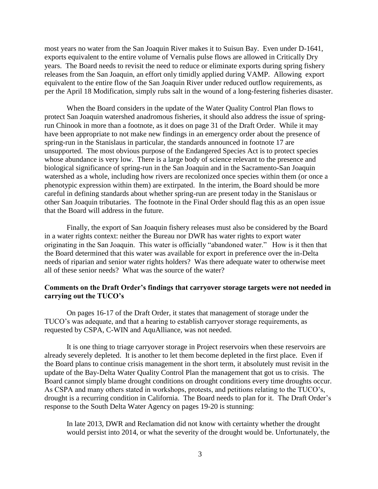most years no water from the San Joaquin River makes it to Suisun Bay. Even under D-1641, exports equivalent to the entire volume of Vernalis pulse flows are allowed in Critically Dry years. The Board needs to revisit the need to reduce or eliminate exports during spring fishery releases from the San Joaquin, an effort only timidly applied during VAMP. Allowing export equivalent to the entire flow of the San Joaquin River under reduced outflow requirements, as per the April 18 Modification, simply rubs salt in the wound of a long-festering fisheries disaster.

When the Board considers in the update of the Water Quality Control Plan flows to protect San Joaquin watershed anadromous fisheries, it should also address the issue of springrun Chinook in more than a footnote, as it does on page 31 of the Draft Order. While it may have been appropriate to not make new findings in an emergency order about the presence of spring-run in the Stanislaus in particular, the standards announced in footnote 17 are unsupported. The most obvious purpose of the Endangered Species Act is to protect species whose abundance is very low. There is a large body of science relevant to the presence and biological significance of spring-run in the San Joaquin and in the Sacramento-San Joaquin watershed as a whole, including how rivers are recolonized once species within them (or once a phenotypic expression within them) are extirpated. In the interim, the Board should be more careful in defining standards about whether spring-run are present today in the Stanislaus or other San Joaquin tributaries. The footnote in the Final Order should flag this as an open issue that the Board will address in the future.

Finally, the export of San Joaquin fishery releases must also be considered by the Board in a water rights context: neither the Bureau nor DWR has water rights to export water originating in the San Joaquin. This water is officially "abandoned water." How is it then that the Board determined that this water was available for export in preference over the in-Delta needs of riparian and senior water rights holders? Was there adequate water to otherwise meet all of these senior needs? What was the source of the water?

### **Comments on the Draft Order's findings that carryover storage targets were not needed in carrying out the TUCO's**

On pages 16-17 of the Draft Order, it states that management of storage under the TUCO's was adequate, and that a hearing to establish carryover storage requirements, as requested by CSPA, C-WIN and AquAlliance, was not needed.

It is one thing to triage carryover storage in Project reservoirs when these reservoirs are already severely depleted. It is another to let them become depleted in the first place. Even if the Board plans to continue crisis management in the short term, it absolutely must revisit in the update of the Bay-Delta Water Quality Control Plan the management that got us to crisis. The Board cannot simply blame drought conditions on drought conditions every time droughts occur. As CSPA and many others stated in workshops, protests, and petitions relating to the TUCO's, drought is a recurring condition in California. The Board needs to plan for it. The Draft Order's response to the South Delta Water Agency on pages 19-20 is stunning:

In late 2013, DWR and Reclamation did not know with certainty whether the drought would persist into 2014, or what the severity of the drought would be. Unfortunately, the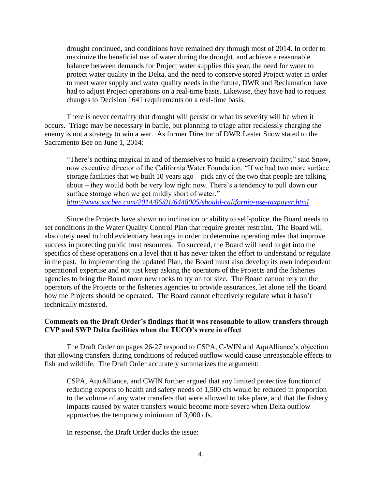drought continued, and conditions have remained dry through most of 2014. In order to maximize the beneficial use of water during the drought, and achieve a reasonable balance between demands for Project water supplies this year, the need for water to protect water quality in the Delta, and the need to conserve stored Project water in order to meet water supply and water quality needs in the future, DWR and Reclamation have had to adjust Project operations on a real-time basis. Likewise, they have had to request changes to Decision 1641 requirements on a real-time basis.

There is never certainty that drought will persist or what its severity will be when it occurs. Triage may be necessary in battle, but planning to triage after recklessly charging the enemy is not a strategy to win a war. As former Director of DWR Lester Snow stated to the Sacramento Bee on June 1, 2014:

"There's nothing magical in and of themselves to build a (reservoir) facility," said Snow, now executive director of the California Water Foundation. "If we had two more surface storage facilities that we built 10 years ago – pick any of the two that people are talking about – they would both be very low right now. There's a tendency to pull down our surface storage when we get mildly short of water." *<http://www.sacbee.com/2014/06/01/6448005/should-california-use-taxpayer.html>*

Since the Projects have shown no inclination or ability to self-police, the Board needs to set conditions in the Water Quality Control Plan that require greater restraint. The Board will absolutely need to hold evidentiary hearings in order to determine operating rules that improve success in protecting public trust resources. To succeed, the Board will need to get into the specifics of these operations on a level that it has never taken the effort to understand or regulate in the past. In implementing the updated Plan, the Board must also develop its own independent operational expertise and not just keep asking the operators of the Projects and the fisheries agencies to bring the Board more new rocks to try on for size. The Board cannot rely on the operators of the Projects or the fisheries agencies to provide assurances, let alone tell the Board how the Projects should be operated. The Board cannot effectively regulate what it hasn't technically mastered.

### **Comments on the Draft Order's findings that it was reasonable to allow transfers through CVP and SWP Delta facilities when the TUCO's were in effect**

The Draft Order on pages 26-27 respond to CSPA, C-WIN and AquAlliance's objection that allowing transfers during conditions of reduced outflow would cause unreasonable effects to fish and wildlife. The Draft Order accurately summarizes the argument:

CSPA, AquAlliance, and CWIN further argued that any limited protective function of reducing exports to health and safety needs of 1,500 cfs would be reduced in proportion to the volume of any water transfers that were allowed to take place, and that the fishery impacts caused by water transfers would become more severe when Delta outflow approaches the temporary minimum of 3,000 cfs.

In response, the Draft Order ducks the issue: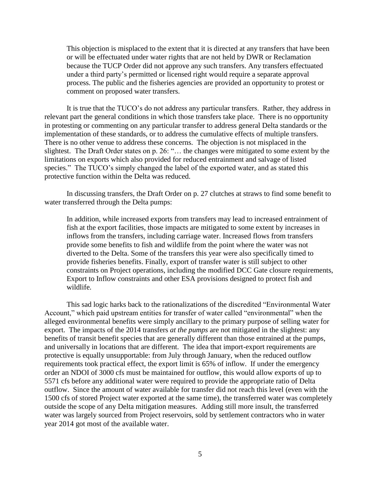This objection is misplaced to the extent that it is directed at any transfers that have been or will be effectuated under water rights that are not held by DWR or Reclamation because the TUCP Order did not approve any such transfers. Any transfers effectuated under a third party's permitted or licensed right would require a separate approval process. The public and the fisheries agencies are provided an opportunity to protest or comment on proposed water transfers.

It is true that the TUCO's do not address any particular transfers. Rather, they address in relevant part the general conditions in which those transfers take place. There is no opportunity in protesting or commenting on any particular transfer to address general Delta standards or the implementation of these standards, or to address the cumulative effects of multiple transfers. There is no other venue to address these concerns. The objection is not misplaced in the slightest. The Draft Order states on p. 26: "… the changes were mitigated to some extent by the limitations on exports which also provided for reduced entrainment and salvage of listed species." The TUCO's simply changed the label of the exported water, and as stated this protective function within the Delta was reduced.

In discussing transfers, the Draft Order on p. 27 clutches at straws to find some benefit to water transferred through the Delta pumps:

In addition, while increased exports from transfers may lead to increased entrainment of fish at the export facilities, those impacts are mitigated to some extent by increases in inflows from the transfers, including carriage water. Increased flows from transfers provide some benefits to fish and wildlife from the point where the water was not diverted to the Delta. Some of the transfers this year were also specifically timed to provide fisheries benefits. Finally, export of transfer water is still subject to other constraints on Project operations, including the modified DCC Gate closure requirements, Export to Inflow constraints and other ESA provisions designed to protect fish and wildlife.

This sad logic harks back to the rationalizations of the discredited "Environmental Water Account," which paid upstream entities for transfer of water called "environmental" when the alleged environmental benefits were simply ancillary to the primary purpose of selling water for export. The impacts of the 2014 transfers *at the pumps* are not mitigated in the slightest: any benefits of transit benefit species that are generally different than those entrained at the pumps, and universally in locations that are different. The idea that import-export requirements are protective is equally unsupportable: from July through January, when the reduced outflow requirements took practical effect, the export limit is 65% of inflow. If under the emergency order an NDOI of 3000 cfs must be maintained for outflow, this would allow exports of up to 5571 cfs before any additional water were required to provide the appropriate ratio of Delta outflow. Since the amount of water available for transfer did not reach this level (even with the 1500 cfs of stored Project water exported at the same time), the transferred water was completely outside the scope of any Delta mitigation measures. Adding still more insult, the transferred water was largely sourced from Project reservoirs, sold by settlement contractors who in water year 2014 got most of the available water.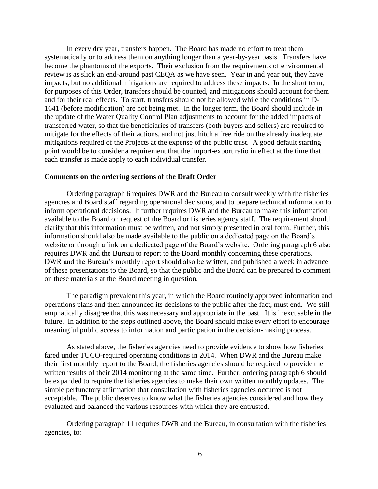In every dry year, transfers happen. The Board has made no effort to treat them systematically or to address them on anything longer than a year-by-year basis. Transfers have become the phantoms of the exports. Their exclusion from the requirements of environmental review is as slick an end-around past CEQA as we have seen. Year in and year out, they have impacts, but no additional mitigations are required to address these impacts. In the short term, for purposes of this Order, transfers should be counted, and mitigations should account for them and for their real effects. To start, transfers should not be allowed while the conditions in D-1641 (before modification) are not being met. In the longer term, the Board should include in the update of the Water Quality Control Plan adjustments to account for the added impacts of transferred water, so that the beneficiaries of transfers (both buyers and sellers) are required to mitigate for the effects of their actions, and not just hitch a free ride on the already inadequate mitigations required of the Projects at the expense of the public trust. A good default starting point would be to consider a requirement that the import-export ratio in effect at the time that each transfer is made apply to each individual transfer.

#### **Comments on the ordering sections of the Draft Order**

Ordering paragraph 6 requires DWR and the Bureau to consult weekly with the fisheries agencies and Board staff regarding operational decisions, and to prepare technical information to inform operational decisions. It further requires DWR and the Bureau to make this information available to the Board on request of the Board or fisheries agency staff. The requirement should clarify that this information must be written, and not simply presented in oral form. Further, this information should also be made available to the public on a dedicated page on the Board's website or through a link on a dedicated page of the Board's website. Ordering paragraph 6 also requires DWR and the Bureau to report to the Board monthly concerning these operations. DWR and the Bureau's monthly report should also be written, and published a week in advance of these presentations to the Board, so that the public and the Board can be prepared to comment on these materials at the Board meeting in question.

The paradigm prevalent this year, in which the Board routinely approved information and operations plans and then announced its decisions to the public after the fact, must end. We still emphatically disagree that this was necessary and appropriate in the past. It is inexcusable in the future. In addition to the steps outlined above, the Board should make every effort to encourage meaningful public access to information and participation in the decision-making process.

As stated above, the fisheries agencies need to provide evidence to show how fisheries fared under TUCO-required operating conditions in 2014. When DWR and the Bureau make their first monthly report to the Board, the fisheries agencies should be required to provide the written results of their 2014 monitoring at the same time. Further, ordering paragraph 6 should be expanded to require the fisheries agencies to make their own written monthly updates. The simple perfunctory affirmation that consultation with fisheries agencies occurred is not acceptable. The public deserves to know what the fisheries agencies considered and how they evaluated and balanced the various resources with which they are entrusted.

Ordering paragraph 11 requires DWR and the Bureau, in consultation with the fisheries agencies, to: